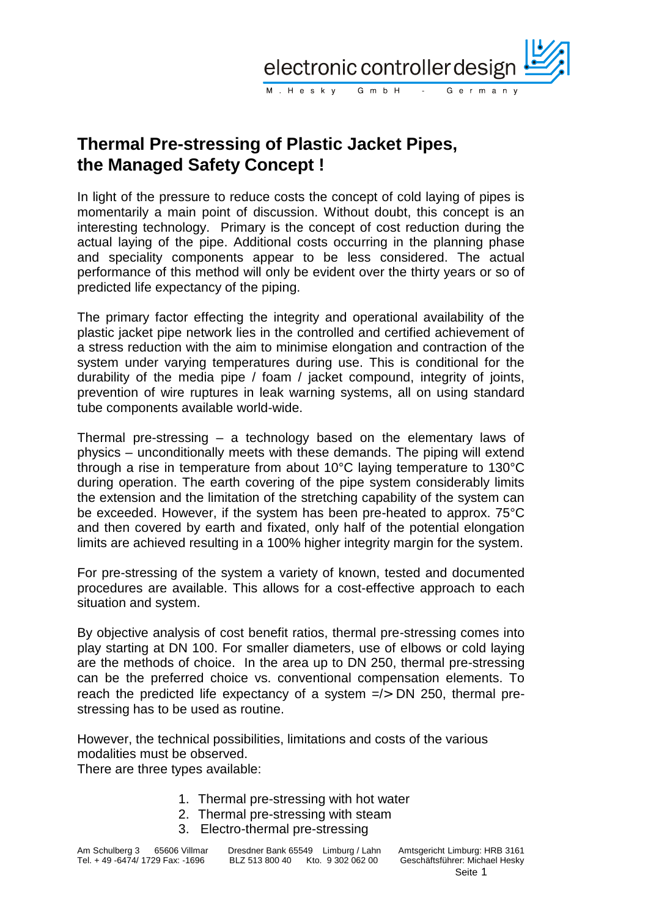

# **Thermal Pre-stressing of Plastic Jacket Pipes, the Managed Safety Concept !**

In light of the pressure to reduce costs the concept of cold laying of pipes is momentarily a main point of discussion. Without doubt, this concept is an interesting technology. Primary is the concept of cost reduction during the actual laying of the pipe. Additional costs occurring in the planning phase and speciality components appear to be less considered. The actual performance of this method will only be evident over the thirty years or so of predicted life expectancy of the piping.

The primary factor effecting the integrity and operational availability of the plastic jacket pipe network lies in the controlled and certified achievement of a stress reduction with the aim to minimise elongation and contraction of the system under varying temperatures during use. This is conditional for the durability of the media pipe / foam / jacket compound, integrity of joints, prevention of wire ruptures in leak warning systems, all on using standard tube components available world-wide.

Thermal pre-stressing – a technology based on the elementary laws of physics – unconditionally meets with these demands. The piping will extend through a rise in temperature from about 10°C laying temperature to 130°C during operation. The earth covering of the pipe system considerably limits the extension and the limitation of the stretching capability of the system can be exceeded. However, if the system has been pre-heated to approx. 75°C and then covered by earth and fixated, only half of the potential elongation limits are achieved resulting in a 100% higher integrity margin for the system.

For pre-stressing of the system a variety of known, tested and documented procedures are available. This allows for a cost-effective approach to each situation and system.

By objective analysis of cost benefit ratios, thermal pre-stressing comes into play starting at DN 100. For smaller diameters, use of elbows or cold laying are the methods of choice. In the area up to DN 250, thermal pre-stressing can be the preferred choice vs. conventional compensation elements. To reach the predicted life expectancy of a system  $\frac{1}{5}$  DN 250, thermal prestressing has to be used as routine.

However, the technical possibilities, limitations and costs of the various modalities must be observed.

There are three types available:

- 1. Thermal pre-stressing with hot water
- 2. Thermal pre-stressing with steam
- 3. Electro-thermal pre-stressing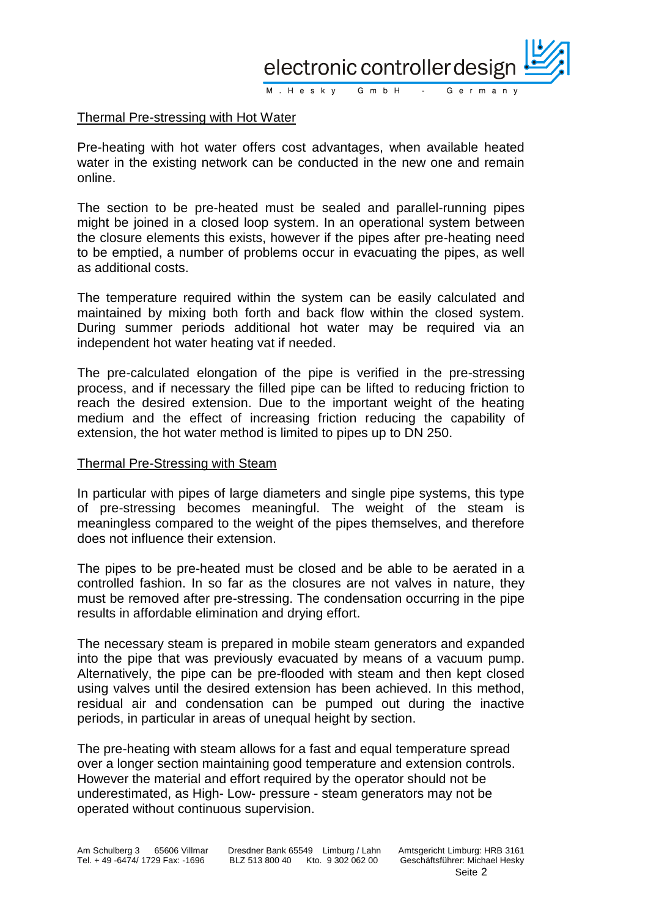

### Thermal Pre-stressing with Hot Water

Pre-heating with hot water offers cost advantages, when available heated water in the existing network can be conducted in the new one and remain online.

The section to be pre-heated must be sealed and parallel-running pipes might be joined in a closed loop system. In an operational system between the closure elements this exists, however if the pipes after pre-heating need to be emptied, a number of problems occur in evacuating the pipes, as well as additional costs.

The temperature required within the system can be easily calculated and maintained by mixing both forth and back flow within the closed system. During summer periods additional hot water may be required via an independent hot water heating vat if needed.

The pre-calculated elongation of the pipe is verified in the pre-stressing process, and if necessary the filled pipe can be lifted to reducing friction to reach the desired extension. Due to the important weight of the heating medium and the effect of increasing friction reducing the capability of extension, the hot water method is limited to pipes up to DN 250.

#### Thermal Pre-Stressing with Steam

In particular with pipes of large diameters and single pipe systems, this type of pre-stressing becomes meaningful. The weight of the steam is meaningless compared to the weight of the pipes themselves, and therefore does not influence their extension.

The pipes to be pre-heated must be closed and be able to be aerated in a controlled fashion. In so far as the closures are not valves in nature, they must be removed after pre-stressing. The condensation occurring in the pipe results in affordable elimination and drying effort.

The necessary steam is prepared in mobile steam generators and expanded into the pipe that was previously evacuated by means of a vacuum pump. Alternatively, the pipe can be pre-flooded with steam and then kept closed using valves until the desired extension has been achieved. In this method, residual air and condensation can be pumped out during the inactive periods, in particular in areas of unequal height by section.

The pre-heating with steam allows for a fast and equal temperature spread over a longer section maintaining good temperature and extension controls. However the material and effort required by the operator should not be underestimated, as High- Low- pressure - steam generators may not be operated without continuous supervision.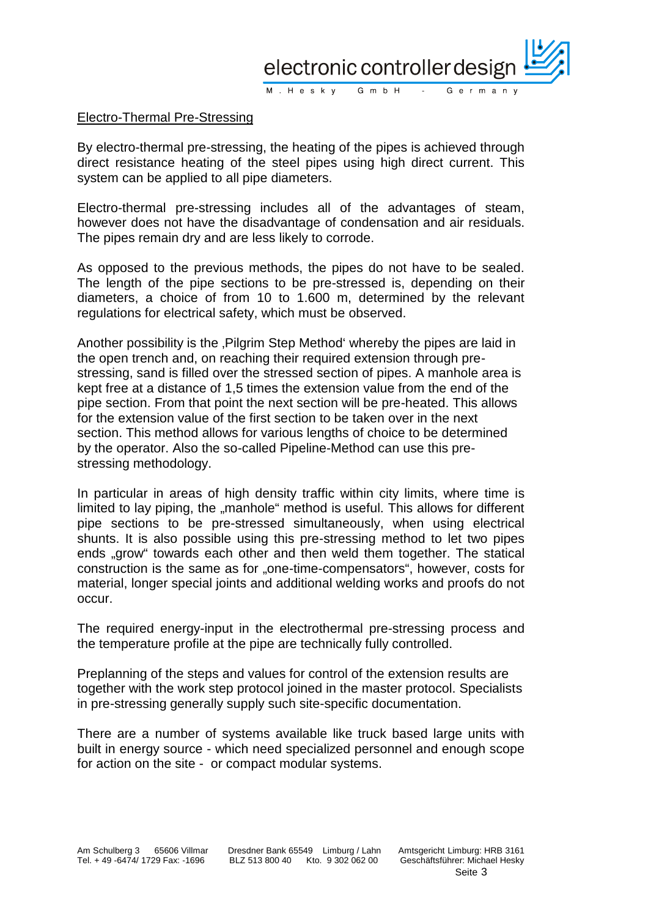

## Electro-Thermal Pre-Stressing

By electro-thermal pre-stressing, the heating of the pipes is achieved through direct resistance heating of the steel pipes using high direct current. This system can be applied to all pipe diameters.

Electro-thermal pre-stressing includes all of the advantages of steam, however does not have the disadvantage of condensation and air residuals. The pipes remain dry and are less likely to corrode.

As opposed to the previous methods, the pipes do not have to be sealed. The length of the pipe sections to be pre-stressed is, depending on their diameters, a choice of from 10 to 1.600 m, determined by the relevant regulations for electrical safety, which must be observed.

Another possibility is the , Pilgrim Step Method' whereby the pipes are laid in the open trench and, on reaching their required extension through prestressing, sand is filled over the stressed section of pipes. A manhole area is kept free at a distance of 1,5 times the extension value from the end of the pipe section. From that point the next section will be pre-heated. This allows for the extension value of the first section to be taken over in the next section. This method allows for various lengths of choice to be determined by the operator. Also the so-called Pipeline-Method can use this prestressing methodology.

In particular in areas of high density traffic within city limits, where time is limited to lay piping, the "manhole" method is useful. This allows for different pipe sections to be pre-stressed simultaneously, when using electrical shunts. It is also possible using this pre-stressing method to let two pipes ends "grow" towards each other and then weld them together. The statical construction is the same as for "one-time-compensators", however, costs for material, longer special joints and additional welding works and proofs do not occur.

The required energy-input in the electrothermal pre-stressing process and the temperature profile at the pipe are technically fully controlled.

Preplanning of the steps and values for control of the extension results are together with the work step protocol joined in the master protocol. Specialists in pre-stressing generally supply such site-specific documentation.

There are a number of systems available like truck based large units with built in energy source - which need specialized personnel and enough scope for action on the site - or compact modular systems.